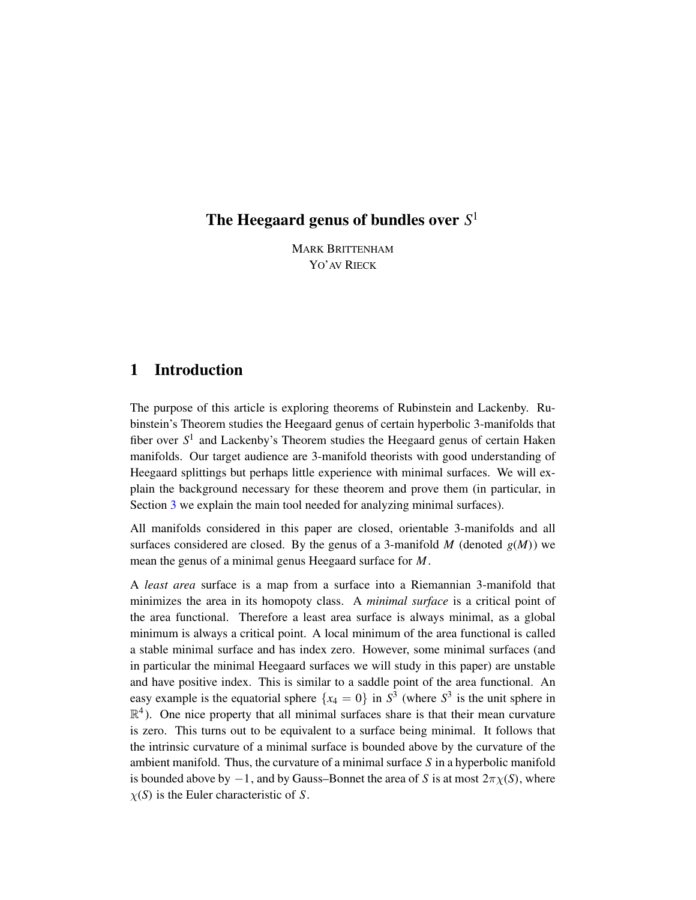# The Heegaard genus of bundles over *S* 1

MARK BRITTENHAM YO' AV RIECK

## 1 Introduction

The purpose of this article is exploring theorems of Rubinstein and Lackenby. Rubinstein's Theorem studies the Heegaard genus of certain hyperbolic 3-manifolds that fiber over  $S^1$  and Lackenby's Theorem studies the Heegaard genus of certain Haken manifolds. Our target audience are 3-manifold theorists with good understanding of Heegaard splittings but perhaps little experience with minimal surfaces. We will explain the background necessary for these theorem and prove them (in particular, in Section [3](#page-5-0) we explain the main tool needed for analyzing minimal surfaces).

All manifolds considered in this paper are closed, orientable 3-manifolds and all surfaces considered are closed. By the genus of a 3-manifold  $M$  (denoted  $g(M)$ ) we mean the genus of a minimal genus Heegaard surface for *M*.

A *least area* surface is a map from a surface into a Riemannian 3-manifold that minimizes the area in its homopoty class. A *minimal surface* is a critical point of the area functional. Therefore a least area surface is always minimal, as a global minimum is always a critical point. A local minimum of the area functional is called a stable minimal surface and has index zero. However, some minimal surfaces (and in particular the minimal Heegaard surfaces we will study in this paper) are unstable and have positive index. This is similar to a saddle point of the area functional. An easy example is the equatorial sphere  $\{x_4 = 0\}$  in  $S^3$  (where  $S^3$  is the unit sphere in  $\mathbb{R}^4$ ). One nice property that all minimal surfaces share is that their mean curvature is zero. This turns out to be equivalent to a surface being minimal. It follows that the intrinsic curvature of a minimal surface is bounded above by the curvature of the ambient manifold. Thus, the curvature of a minimal surface *S* in a hyperbolic manifold is bounded above by  $-1$ , and by Gauss–Bonnet the area of *S* is at most  $2\pi\chi(S)$ , where  $\chi(S)$  is the Euler characteristic of *S*.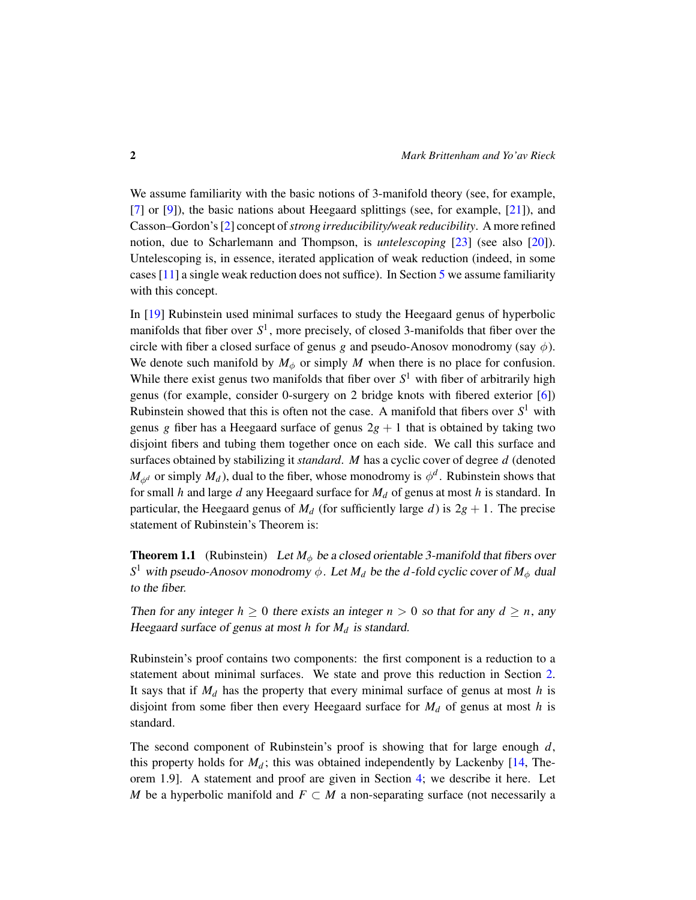We assume familiarity with the basic notions of 3-manifold theory (see, for example, [\[7\]](#page-14-0) or [\[9\]](#page-14-1)), the basic nations about Heegaard splittings (see, for example, [\[21\]](#page-15-0)), and Casson–Gordon's [\[2\]](#page-14-2) concept of*strong irreducibility/weak reducibility*. A more refined notion, due to Scharlemann and Thompson, is *untelescoping* [\[23\]](#page-15-1) (see also [\[20\]](#page-15-2)). Untelescoping is, in essence, iterated application of weak reduction (indeed, in some cases [\[11\]](#page-14-3) a single weak reduction does not suffice). In Section [5](#page-8-0) we assume familiarity with this concept.

In [\[19\]](#page-15-3) Rubinstein used minimal surfaces to study the Heegaard genus of hyperbolic manifolds that fiber over *S* 1 , more precisely, of closed 3-manifolds that fiber over the circle with fiber a closed surface of genus *g* and pseudo-Anosov monodromy (say  $\phi$ ). We denote such manifold by  $M_{\phi}$  or simply *M* when there is no place for confusion. While there exist genus two manifolds that fiber over  $S<sup>1</sup>$  with fiber of arbitrarily high genus (for example, consider 0-surgery on 2 bridge knots with fibered exterior [\[6\]](#page-14-4)) Rubinstein showed that this is often not the case. A manifold that fibers over  $S^1$  with genus *g* fiber has a Heegaard surface of genus  $2g + 1$  that is obtained by taking two disjoint fibers and tubing them together once on each side. We call this surface and surfaces obtained by stabilizing it *standard*. *M* has a cyclic cover of degree *d* (denoted  $M_{\phi^d}$  or simply  $M_d$ ), dual to the fiber, whose monodromy is  $\phi^d$ . Rubinstein shows that for small *h* and large *d* any Heegaard surface for *M<sup>d</sup>* of genus at most *h* is standard. In particular, the Heegaard genus of  $M_d$  (for sufficiently large *d*) is  $2g + 1$ . The precise statement of Rubinstein's Theorem is:

<span id="page-1-0"></span>**Theorem 1.1** (Rubinstein) Let  $M_{\phi}$  be a closed orientable 3-manifold that fibers over *S*<sup>1</sup> with pseudo-Anosov monodromy  $\phi$ . Let  $M_d$  be the *d*-fold cyclic cover of  $M_\phi$  dual to the fiber.

Then for any integer  $h \geq 0$  there exists an integer  $n > 0$  so that for any  $d \geq n$ , any Heegaard surface of genus at most *h* for *M<sup>d</sup>* is standard.

Rubinstein's proof contains two components: the first component is a reduction to a statement about minimal surfaces. We state and prove this reduction in Section [2.](#page-3-0) It says that if *M<sup>d</sup>* has the property that every minimal surface of genus at most *h* is disjoint from some fiber then every Heegaard surface for  $M_d$  of genus at most  $h$  is standard.

The second component of Rubinstein's proof is showing that for large enough *d*, this property holds for  $M_d$ ; this was obtained independently by Lackenby  $[14,$  Theorem 1.9]. A statement and proof are given in Section [4;](#page-7-0) we describe it here. Let *M* be a hyperbolic manifold and  $F \subset M$  a non-separating surface (not necessarily a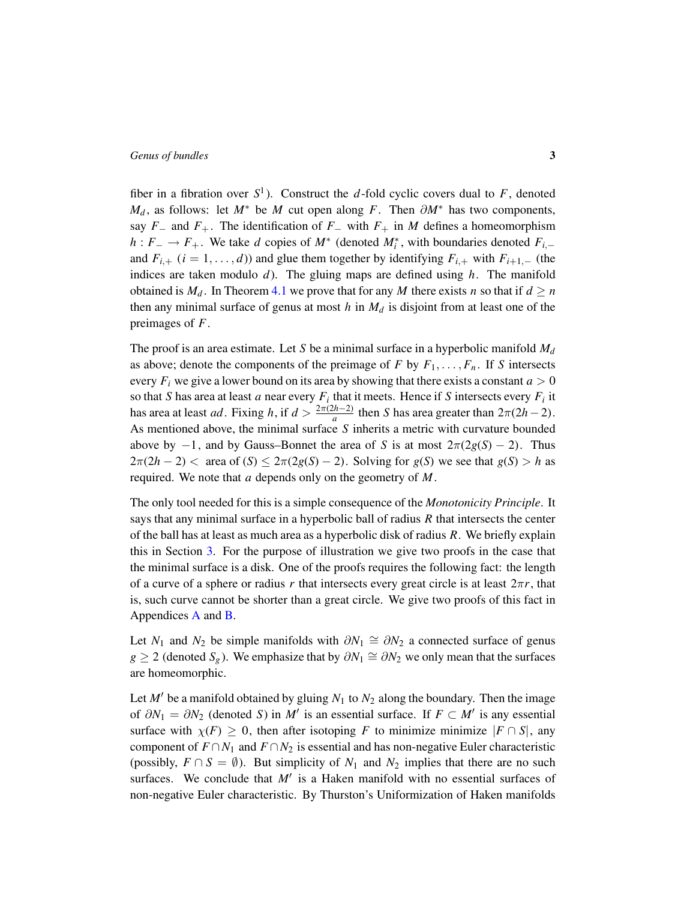fiber in a fibration over  $S^1$ ). Construct the *d*-fold cyclic covers dual to *F*, denoted  $M_d$ , as follows: let  $M^*$  be  $M$  cut open along  $F$ . Then  $\partial M^*$  has two components, say  $F_$  and  $F_+$ . The identification of  $F_$  with  $F_+$  in  $M$  defines a homeomorphism *h* :  $F_$  →  $F_+$ . We take *d* copies of  $M^*$  (denoted  $M_i^*$ , with boundaries denoted  $F_{i,-}$ and  $F_{i,+}$  ( $i = 1, \ldots, d$ )) and glue them together by identifying  $F_{i,+}$  with  $F_{i+1,-}$  (the indices are taken modulo *d*). The gluing maps are defined using *h*. The manifold obtained is  $M_d$ . In Theorem [4.1](#page-7-1) we prove that for any *M* there exists *n* so that if  $d \ge n$ then any minimal surface of genus at most  $h$  in  $M_d$  is disjoint from at least one of the preimages of *F*.

The proof is an area estimate. Let *S* be a minimal surface in a hyperbolic manifold *M<sup>d</sup>* as above; denote the components of the preimage of  $F$  by  $F_1, \ldots, F_n$ . If  $S$  intersects every  $F_i$  we give a lower bound on its area by showing that there exists a constant  $a > 0$ so that *S* has area at least *a* near every  $F_i$  that it meets. Hence if *S* intersects every  $F_i$  it has area at least *ad*. Fixing *h*, if  $d > \frac{2\pi(2h-2)}{a}$  $\frac{2h-2j}{a}$  then *S* has area greater than  $2\pi(2h-2)$ . As mentioned above, the minimal surface *S* inherits a metric with curvature bounded above by  $-1$ , and by Gauss–Bonnet the area of *S* is at most  $2\pi(2g(S) - 2)$ . Thus  $2\pi(2h-2)$  < area of  $(S) \leq 2\pi(2g(S)-2)$ . Solving for  $g(S)$  we see that  $g(S) > h$  as required. We note that *a* depends only on the geometry of *M*.

The only tool needed for this is a simple consequence of the *Monotonicity Principle*. It says that any minimal surface in a hyperbolic ball of radius *R* that intersects the center of the ball has at least as much area as a hyperbolic disk of radius *R*. We briefly explain this in Section [3.](#page-5-0) For the purpose of illustration we give two proofs in the case that the minimal surface is a disk. One of the proofs requires the following fact: the length of a curve of a sphere or radius r that intersects every great circle is at least  $2\pi r$ , that is, such curve cannot be shorter than a great circle. We give two proofs of this fact in Appendices [A](#page-11-0) and [B.](#page-12-0)

Let *N*<sub>1</sub> and *N*<sub>2</sub> be simple manifolds with  $\partial N_1 \cong \partial N_2$  a connected surface of genus *g* ≥ 2 (denoted  $S_g$ ). We emphasize that by  $\partial N_1 \cong \partial N_2$  we only mean that the surfaces are homeomorphic.

Let  $M'$  be a manifold obtained by gluing  $N_1$  to  $N_2$  along the boundary. Then the image of  $\partial N_1 = \partial N_2$  (denoted *S*) in *M'* is an essential surface. If  $F \subset M'$  is any essential surface with  $\chi(F) \geq 0$ , then after isotoping *F* to minimize minimize  $|F \cap S|$ , any component of  $F \cap N_1$  and  $F \cap N_2$  is essential and has non-negative Euler characteristic (possibly,  $F \cap S = \emptyset$ ). But simplicity of  $N_1$  and  $N_2$  implies that there are no such surfaces. We conclude that  $M'$  is a Haken manifold with no essential surfaces of non-negative Euler characteristic. By Thurston's Uniformization of Haken manifolds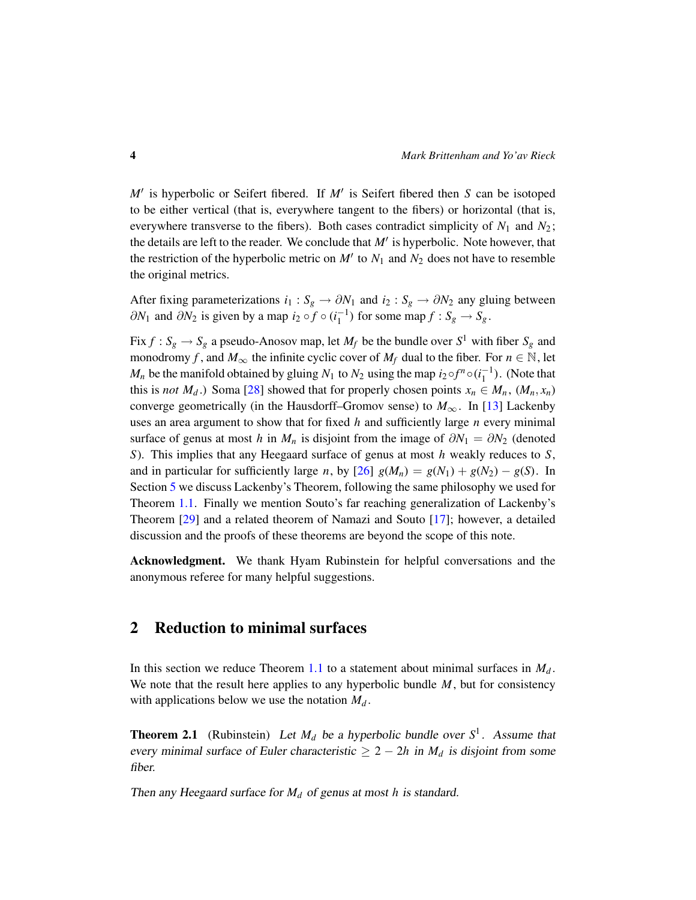*M'* is hyperbolic or Seifert fibered. If *M'* is Seifert fibered then *S* can be isotoped to be either vertical (that is, everywhere tangent to the fibers) or horizontal (that is, everywhere transverse to the fibers). Both cases contradict simplicity of  $N_1$  and  $N_2$ ; the details are left to the reader. We conclude that  $M'$  is hyperbolic. Note however, that the restriction of the hyperbolic metric on  $M'$  to  $N_1$  and  $N_2$  does not have to resemble the original metrics.

After fixing parameterizations  $i_1 : S_g \to \partial N_1$  and  $i_2 : S_g \to \partial N_2$  any gluing between  $\partial N_1$  and  $\partial N_2$  is given by a map *i*<sub>2</sub> ∘ *f* ∘ (*i*<sub>1</sub><sup>-1</sup>) for some map *f* : *S*<sub>*g*</sub> → *S*<sub>*g*</sub>.

Fix  $f : S_g \to S_g$  a pseudo-Anosov map, let  $M_f$  be the bundle over  $S^1$  with fiber  $S_g$  and monodromy *f*, and  $M_{\infty}$  the infinite cyclic cover of  $M_f$  dual to the fiber. For  $n \in \mathbb{N}$ , let *M<sub>n</sub>* be the manifold obtained by gluing *N*<sub>1</sub> to *N*<sub>2</sub> using the map *i*<sub>2</sub> ∘*f*<sup>*n*</sup> ∘(*i*<sub>1</sub><sup>-1</sup>). (Note that this is *not*  $M_d$ .) Soma [\[28\]](#page-15-5) showed that for properly chosen points  $x_n \in M_n$ ,  $(M_n, x_n)$ converge geometrically (in the Hausdorff–Gromov sense) to  $M_{\infty}$ . In [\[13\]](#page-14-5) Lackenby uses an area argument to show that for fixed *h* and sufficiently large *n* every minimal surface of genus at most *h* in  $M_n$  is disjoint from the image of  $\partial N_1 = \partial N_2$  (denoted *S*). This implies that any Heegaard surface of genus at most *h* weakly reduces to *S*, and in particular for sufficiently large *n*, by  $[26]$   $g(M_n) = g(N_1) + g(N_2) - g(S)$ . In Section [5](#page-8-0) we discuss Lackenby's Theorem, following the same philosophy we used for Theorem [1.1.](#page-1-0) Finally we mention Souto's far reaching generalization of Lackenby's Theorem [\[29\]](#page-16-0) and a related theorem of Namazi and Souto [\[17\]](#page-15-7); however, a detailed discussion and the proofs of these theorems are beyond the scope of this note.

Acknowledgment. We thank Hyam Rubinstein for helpful conversations and the anonymous referee for many helpful suggestions.

### <span id="page-3-0"></span>2 Reduction to minimal surfaces

In this section we reduce Theorem [1.1](#page-1-0) to a statement about minimal surfaces in  $M_d$ . We note that the result here applies to any hyperbolic bundle *M*, but for consistency with applications below we use the notation *M<sup>d</sup>* .

<span id="page-3-1"></span>**Theorem 2.1** (Rubinstein) Let  $M_d$  be a hyperbolic bundle over  $S^1$ . Assume that every minimal surface of Euler characteristic  $\geq 2 - 2h$  in  $M_d$  is disjoint from some fiber.

Then any Heegaard surface for *M<sup>d</sup>* of genus at most *h* is standard.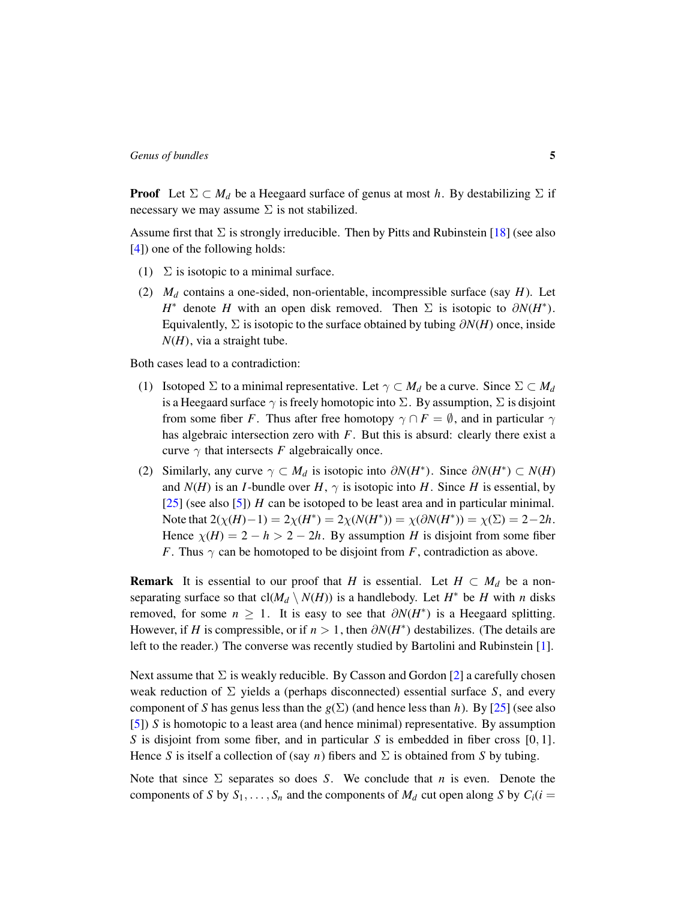**Proof** Let  $\Sigma \subset M_d$  be a Heegaard surface of genus at most *h*. By destabilizing  $\Sigma$  if necessary we may assume  $\Sigma$  is not stabilized.

Assume first that  $\Sigma$  is strongly irreducible. Then by Pitts and Rubinstein [\[18\]](#page-15-8) (see also [\[4\]](#page-14-6)) one of the following holds:

- (1)  $\Sigma$  is isotopic to a minimal surface.
- (2) *M<sup>d</sup>* contains a one-sided, non-orientable, incompressible surface (say *H*). Let *H*<sup>\*</sup> denote *H* with an open disk removed. Then  $\Sigma$  is isotopic to  $\partial N(H^*)$ . Equivalently,  $\Sigma$  is isotopic to the surface obtained by tubing  $\partial N(H)$  once, inside *N*(*H*), via a straight tube.

Both cases lead to a contradiction:

- (1) Isotoped  $\Sigma$  to a minimal representative. Let  $\gamma \subset M_d$  be a curve. Since  $\Sigma \subset M_d$ is a Heegaard surface  $\gamma$  is freely homotopic into  $\Sigma$ . By assumption,  $\Sigma$  is disjoint from some fiber *F*. Thus after free homotopy  $\gamma \cap F = \emptyset$ , and in particular  $\gamma$ has algebraic intersection zero with *F*. But this is absurd: clearly there exist a curve  $\gamma$  that intersects *F* algebraically once.
- (2) Similarly, any curve  $\gamma \subset M_d$  is isotopic into  $\partial N(H^*)$ . Since  $\partial N(H^*) \subset N(H)$ and  $N(H)$  is an *I*-bundle over  $H$ ,  $\gamma$  is isotopic into  $H$ . Since  $H$  is essential, by [\[25\]](#page-15-9) (see also [\[5\]](#page-14-7)) *H* can be isotoped to be least area and in particular minimal. Note that  $2(\chi(H) - 1) = 2\chi(H^*) = 2\chi(N(H^*)) = \chi(\partial N(H^*)) = \chi(\Sigma) = 2 - 2h$ . Hence  $\chi(H) = 2 - h > 2 - 2h$ . By assumption *H* is disjoint from some fiber *F*. Thus  $\gamma$  can be homotoped to be disjoint from *F*, contradiction as above.

**Remark** It is essential to our proof that *H* is essential. Let  $H \subset M_d$  be a nonseparating surface so that  $cl(M_d \setminus N(H))$  is a handlebody. Let  $H^*$  be  $H$  with  $n$  disks removed, for some  $n \geq 1$ . It is easy to see that  $\partial N(H^*)$  is a Heegaard splitting. However, if *H* is compressible, or if  $n > 1$ , then  $\partial N(H^*)$  destabilizes. (The details are left to the reader.) The converse was recently studied by Bartolini and Rubinstein [\[1\]](#page-14-8).

Next assume that  $\Sigma$  is weakly reducible. By Casson and Gordon [\[2\]](#page-14-2) a carefully chosen weak reduction of  $\Sigma$  yields a (perhaps disconnected) essential surface *S*, and every component of *S* has genus less than the  $g(\Sigma)$  (and hence less than *h*). By [\[25\]](#page-15-9) (see also [\[5\]](#page-14-7)) *S* is homotopic to a least area (and hence minimal) representative. By assumption *S* is disjoint from some fiber, and in particular *S* is embedded in fiber cross [0, 1]. Hence *S* is itself a collection of (say *n*) fibers and  $\Sigma$  is obtained from *S* by tubing.

Note that since Σ separates so does *S*. We conclude that *n* is even. Denote the components of *S* by  $S_1, \ldots, S_n$  and the components of  $M_d$  cut open along *S* by  $C_i(i = s)$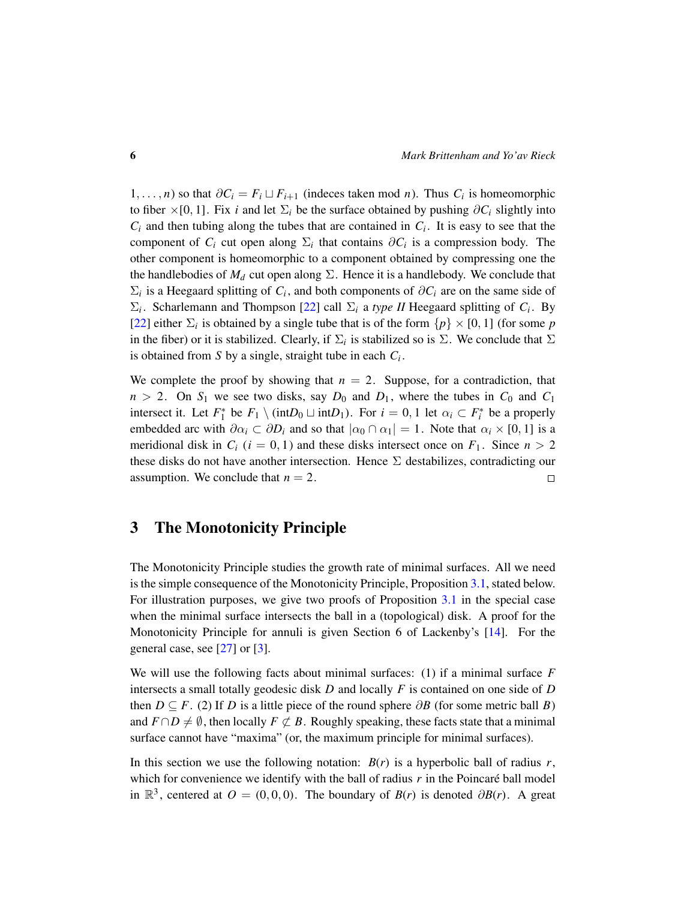1, . . . . , *n*) so that  $\partial C_i = F_i \sqcup F_{i+1}$  (indeces taken mod *n*). Thus  $C_i$  is homeomorphic to fiber ×[0, 1]. Fix *i* and let  $\Sigma_i$  be the surface obtained by pushing  $\partial C_i$  slightly into  $C_i$  and then tubing along the tubes that are contained in  $C_i$ . It is easy to see that the component of  $C_i$  cut open along  $\Sigma_i$  that contains  $\partial C_i$  is a compression body. The other component is homeomorphic to a component obtained by compressing one the the handlebodies of  $M_d$  cut open along  $\Sigma$ . Hence it is a handlebody. We conclude that  $\Sigma_i$  is a Heegaard splitting of  $C_i$ , and both components of  $\partial C_i$  are on the same side of  $\Sigma_i$ . Scharlemann and Thompson [\[22\]](#page-15-10) call  $\Sigma_i$  a *type II* Heegaard splitting of *C<sub>i</sub>*. By [\[22\]](#page-15-10) either  $\Sigma_i$  is obtained by a single tube that is of the form  $\{p\} \times [0, 1]$  (for some *p* in the fiber) or it is stabilized. Clearly, if  $\Sigma_i$  is stabilized so is  $\Sigma$ . We conclude that  $\Sigma$ is obtained from *S* by a single, straight tube in each *C<sup>i</sup>* .

We complete the proof by showing that  $n = 2$ . Suppose, for a contradiction, that  $n > 2$ . On  $S_1$  we see two disks, say  $D_0$  and  $D_1$ , where the tubes in  $C_0$  and  $C_1$ intersect it. Let  $F_1^*$  be  $F_1 \setminus (\text{int}D_0 \sqcup \text{int}D_1)$ . For  $i = 0, 1$  let  $\alpha_i \subset F_i^*$  be a properly embedded arc with  $\partial \alpha_i \subset \partial D_i$  and so that  $|\alpha_0 \cap \alpha_1| = 1$ . Note that  $\alpha_i \times [0, 1]$  is a meridional disk in  $C_i$  ( $i = 0, 1$ ) and these disks intersect once on  $F_1$ . Since  $n > 2$ these disks do not have another intersection. Hence  $\Sigma$  destabilizes, contradicting our assumption. We conclude that  $n = 2$ .  $\Box$ 

### <span id="page-5-0"></span>3 The Monotonicity Principle

The Monotonicity Principle studies the growth rate of minimal surfaces. All we need is the simple consequence of the Monotonicity Principle, Proposition [3.1,](#page-6-0) stated below. For illustration purposes, we give two proofs of Proposition [3.1](#page-6-0) in the special case when the minimal surface intersects the ball in a (topological) disk. A proof for the Monotonicity Principle for annuli is given Section 6 of Lackenby's [\[14\]](#page-15-4). For the general case, see [\[27\]](#page-15-11) or [\[3\]](#page-14-9).

We will use the following facts about minimal surfaces: (1) if a minimal surface *F* intersects a small totally geodesic disk *D* and locally *F* is contained on one side of *D* then  $D \subseteq F$ . (2) If *D* is a little piece of the round sphere  $\partial B$  (for some metric ball *B*) and  $F \cap D \neq \emptyset$ , then locally  $F \not\subset B$ . Roughly speaking, these facts state that a minimal surface cannot have "maxima" (or, the maximum principle for minimal surfaces).

In this section we use the following notation:  $B(r)$  is a hyperbolic ball of radius  $r$ , which for convenience we identify with the ball of radius  $r$  in the Poincaré ball model in  $\mathbb{R}^3$ , centered at  $O = (0, 0, 0)$ . The boundary of *B*(*r*) is denoted  $\partial B(r)$ . A great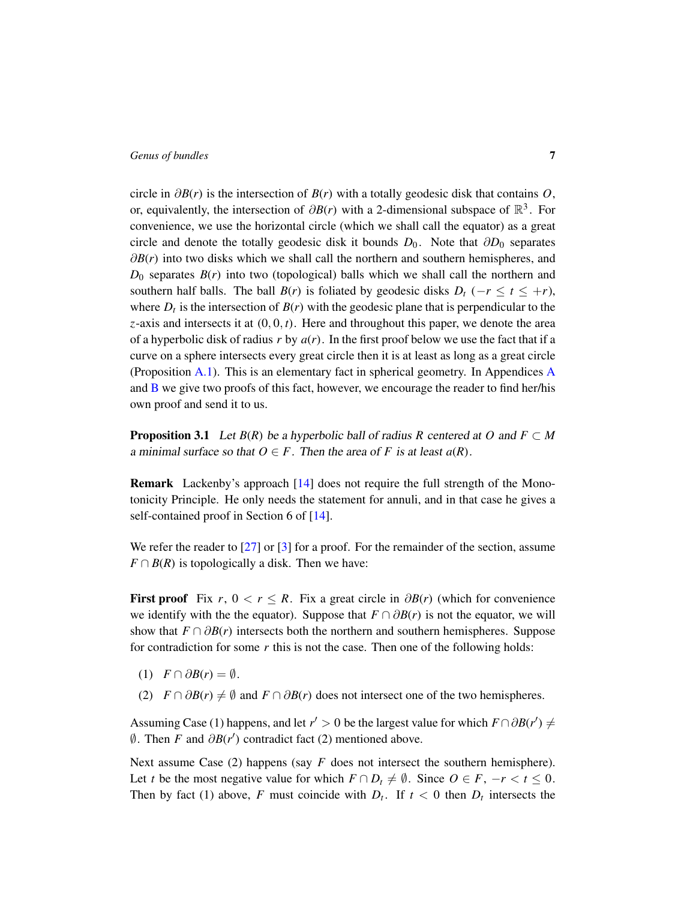circle in ∂*B*(*r*) is the intersection of *B*(*r*) with a totally geodesic disk that contains *O*, or, equivalently, the intersection of  $\partial B(r)$  with a 2-dimensional subspace of  $\mathbb{R}^3$ . For convenience, we use the horizontal circle (which we shall call the equator) as a great circle and denote the totally geodesic disk it bounds  $D_0$ . Note that  $\partial D_0$  separates ∂*B*(*r*) into two disks which we shall call the northern and southern hemispheres, and  $D_0$  separates  $B(r)$  into two (topological) balls which we shall call the northern and southern half balls. The ball *B*(*r*) is foliated by geodesic disks  $D_t$  (−*r* ≤ *t* ≤ +*r*), where  $D_t$  is the intersection of  $B(r)$  with the geodesic plane that is perpendicular to the  $z$ -axis and intersects it at  $(0, 0, t)$ . Here and throughout this paper, we denote the area of a hyperbolic disk of radius *r* by *a*(*r*). In the first proof below we use the fact that if a curve on a sphere intersects every great circle then it is at least as long as a great circle (Proposition [A.1\)](#page-11-1). This is an elementary fact in spherical geometry. In Appendices [A](#page-11-0) and [B](#page-12-0) we give two proofs of this fact, however, we encourage the reader to find her/his own proof and send it to us.

<span id="page-6-0"></span>**Proposition 3.1** Let  $B(R)$  be a hyperbolic ball of radius R centered at O and  $F \subset M$ a minimal surface so that  $O \in F$ . Then the area of *F* is at least  $a(R)$ .

Remark Lackenby's approach [\[14\]](#page-15-4) does not require the full strength of the Monotonicity Principle. He only needs the statement for annuli, and in that case he gives a self-contained proof in Section 6 of [\[14\]](#page-15-4).

We refer the reader to [\[27\]](#page-15-11) or [\[3\]](#page-14-9) for a proof. For the remainder of the section, assume  $F \cap B(R)$  is topologically a disk. Then we have:

First proof Fix  $r, 0 < r \leq R$ . Fix a great circle in  $\partial B(r)$  (which for convenience we identify with the the equator). Suppose that  $F \cap \partial B(r)$  is not the equator, we will show that  $F \cap \partial B(r)$  intersects both the northern and southern hemispheres. Suppose for contradiction for some *r* this is not the case. Then one of the following holds:

- (1)  $F \cap \partial B(r) = \emptyset$ .
- (2)  $F \cap \partial B(r) \neq \emptyset$  and  $F \cap \partial B(r)$  does not intersect one of the two hemispheres.

Assuming Case (1) happens, and let  $r' > 0$  be the largest value for which  $F \cap \partial B(r') \neq 0$  $\emptyset$ . Then *F* and  $\partial B(r')$  contradict fact (2) mentioned above.

Next assume Case (2) happens (say *F* does not intersect the southern hemisphere). Let *t* be the most negative value for which  $F \cap D_t \neq \emptyset$ . Since  $O \in F$ ,  $-r < t \leq 0$ . Then by fact (1) above, *F* must coincide with  $D_t$ . If  $t < 0$  then  $D_t$  intersects the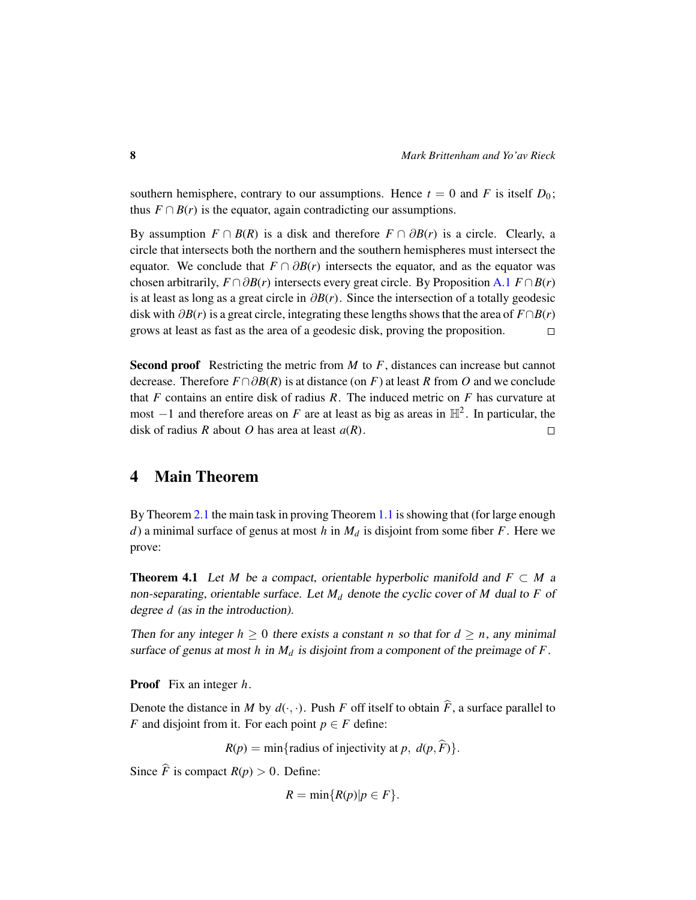southern hemisphere, contrary to our assumptions. Hence  $t = 0$  and *F* is itself  $D_0$ ; thus  $F \cap B(r)$  is the equator, again contradicting our assumptions.

By assumption  $F \cap B(R)$  is a disk and therefore  $F \cap \partial B(r)$  is a circle. Clearly, a circle that intersects both the northern and the southern hemispheres must intersect the equator. We conclude that  $F \cap \partial B(r)$  intersects the equator, and as the equator was chosen arbitrarily,  $F \cap \partial B(r)$  intersects every great circle. By Proposition [A.1](#page-11-1)  $F \cap B(r)$ is at least as long as a great circle in ∂*B*(*r*). Since the intersection of a totally geodesic disk with  $\partial B(r)$  is a great circle, integrating these lengths shows that the area of  $F \cap B(r)$ grows at least as fast as the area of a geodesic disk, proving the proposition.  $\Box$ 

Second proof Restricting the metric from *M* to *F*, distances can increase but cannot decrease. Therefore *F*∩∂*B*(*R*) is at distance (on *F*) at least *R* from *O* and we conclude that *F* contains an entire disk of radius *R*. The induced metric on *F* has curvature at most  $-1$  and therefore areas on *F* are at least as big as areas in  $\mathbb{H}^2$ . In particular, the disk of radius *R* about *O* has area at least *a*(*R*).  $\Box$ 

# <span id="page-7-0"></span>4 Main Theorem

By Theorem [2.1](#page-3-1) the main task in proving Theorem [1.1](#page-1-0) is showing that (for large enough *d*) a minimal surface of genus at most *h* in *M<sup>d</sup>* is disjoint from some fiber *F*. Here we prove:

<span id="page-7-1"></span>**Theorem 4.1** Let *M* be a compact, orientable hyperbolic manifold and  $F \subset M$  a non-separating, orientable surface. Let *M<sup>d</sup>* denote the cyclic cover of *M* dual to *F* of degree *d* (as in the introduction).

Then for any integer  $h \geq 0$  there exists a constant *n* so that for  $d \geq n$ , any minimal surface of genus at most *h* in *M<sup>d</sup>* is disjoint from a component of the preimage of *F*.

Proof Fix an integer *h*.

Denote the distance in *M* by  $d(\cdot, \cdot)$ . Push *F* off itself to obtain  $\hat{F}$ , a surface parallel to *F* and disjoint from it. For each point  $p \in F$  define:

 $R(p) = \min\{\text{radius of injectivity at } p, d(p, \hat{F})\}.$ 

Since  $\hat{F}$  is compact  $R(p) > 0$ . Define:

$$
R=\min\{R(p)|p\in F\}.
$$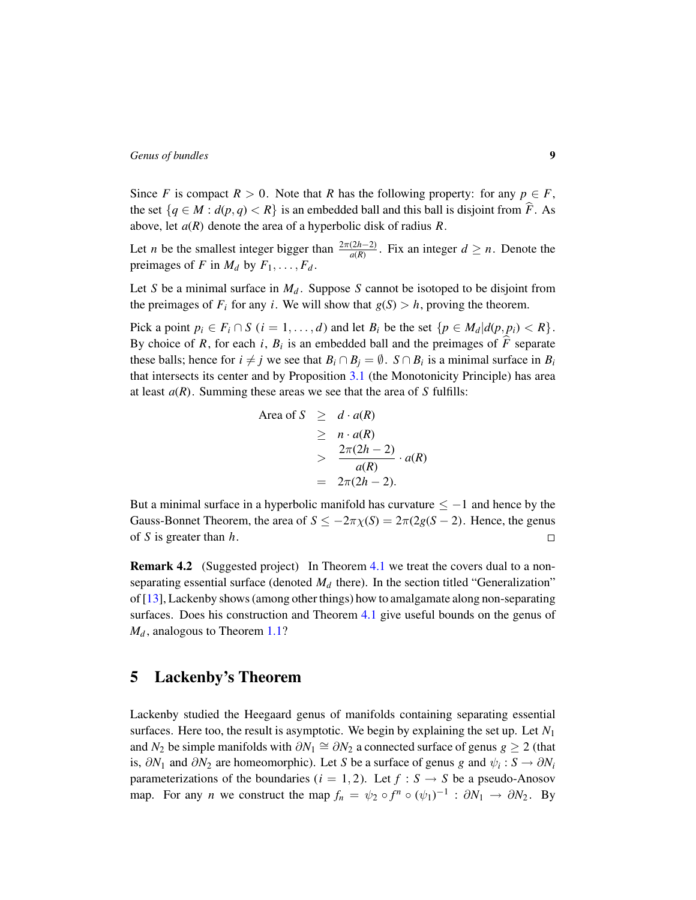Since *F* is compact  $R > 0$ . Note that *R* has the following property: for any  $p \in F$ , the set  $\{q \in M : d(p,q) < R\}$  is an embedded ball and this ball is disjoint from  $\hat{F}$ . As above, let *a*(*R*) denote the area of a hyperbolic disk of radius *R*.

Let *n* be the smallest integer bigger than  $\frac{2\pi(2h-2)}{a(R)}$ . Fix an integer  $d \ge n$ . Denote the preimages of *F* in  $M_d$  by  $F_1, \ldots, F_d$ .

Let *S* be a minimal surface in  $M_d$ . Suppose *S* cannot be isotoped to be disjoint from the preimages of  $F_i$  for any *i*. We will show that  $g(S) > h$ , proving the theorem.

Pick a point  $p_i \in F_i \cap S$  ( $i = 1, \ldots, d$ ) and let  $B_i$  be the set  $\{p \in M_d | d(p, p_i) < R\}$ . By choice of *R*, for each *i*,  $B_i$  is an embedded ball and the preimages of  $\overline{F}$  separate these balls; hence for  $i \neq j$  we see that  $B_i \cap B_j = \emptyset$ .  $S \cap B_i$  is a minimal surface in  $B_i$ that intersects its center and by Proposition [3.1](#page-6-0) (the Monotonicity Principle) has area at least  $a(R)$ . Summing these areas we see that the area of  $S$  fulfills:

Area of 
$$
S \geq d \cdot a(R)
$$
  
\n $\geq n \cdot a(R)$   
\n $\geq \frac{2\pi(2h-2)}{a(R)} \cdot a(R)$   
\n $= 2\pi(2h-2).$ 

But a minimal surface in a hyperbolic manifold has curvature  $\leq -1$  and hence by the Gauss-Bonnet Theorem, the area of  $S \le -2\pi \chi(S) = 2\pi (2g(S - 2))$ . Hence, the genus of *S* is greater than *h*.  $\Box$ 

**Remark 4.2** (Suggested project) In Theorem [4.1](#page-7-1) we treat the covers dual to a nonseparating essential surface (denoted  $M_d$  there). In the section titled "Generalization" of [\[13\]](#page-14-5), Lackenby shows (among other things) how to amalgamate along non-separating surfaces. Does his construction and Theorem [4.1](#page-7-1) give useful bounds on the genus of  $M_d$ , analogous to Theorem [1.1?](#page-1-0)

### <span id="page-8-0"></span>5 Lackenby's Theorem

Lackenby studied the Heegaard genus of manifolds containing separating essential surfaces. Here too, the result is asymptotic. We begin by explaining the set up. Let  $N_1$ and  $N_2$  be simple manifolds with  $\partial N_1 \cong \partial N_2$  a connected surface of genus  $g \ge 2$  (that is,  $\partial N_1$  and  $\partial N_2$  are homeomorphic). Let *S* be a surface of genus *g* and  $\psi_i : S \to \partial N_i$ parameterizations of the boundaries ( $i = 1, 2$ ). Let  $f : S \rightarrow S$  be a pseudo-Anosov map. For any *n* we construct the map  $f_n = \psi_2 \circ f^n \circ (\psi_1)^{-1} : \partial N_1 \to \partial N_2$ . By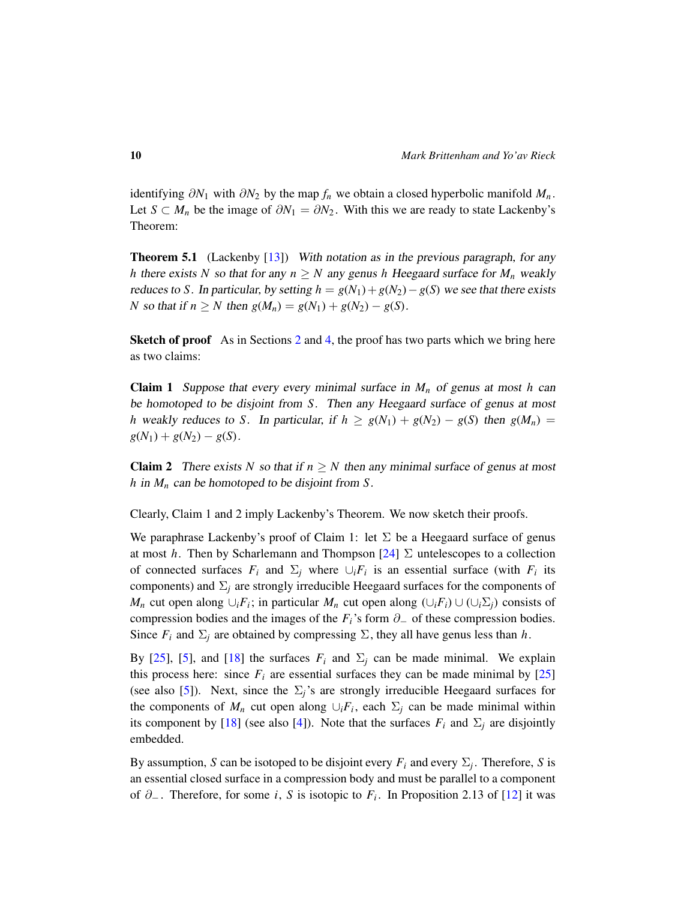identifying  $\partial N_1$  with  $\partial N_2$  by the map  $f_n$  we obtain a closed hyperbolic manifold  $M_n$ . Let *S* ⊂ *M<sub>n</sub>* be the image of  $\partial N_1 = \partial N_2$ . With this we are ready to state Lackenby's Theorem:

**Theorem 5.1** (Lackenby [\[13\]](#page-14-5)) With notation as in the previous paragraph, for any *h* there exists *N* so that for any  $n \geq N$  any genus *h* Heegaard surface for  $M_n$  weakly reduces to *S*. In particular, by setting  $h = g(N_1) + g(N_2) - g(S)$  we see that there exists *N* so that if  $n \ge N$  then  $g(M_n) = g(N_1) + g(N_2) - g(S)$ .

**Sketch of proof** As in Sections [2](#page-3-0) and [4,](#page-7-0) the proof has two parts which we bring here as two claims:

**Claim 1** Suppose that every every minimal surface in  $M_n$  of genus at most  $h$  can be homotoped to be disjoint from *S*. Then any Heegaard surface of genus at most *h* weakly reduces to *S*. In particular, if  $h \ge g(N_1) + g(N_2) - g(S)$  then  $g(M_n) =$  $g(N_1) + g(N_2) - g(S)$ .

**Claim 2** There exists *N* so that if  $n \geq N$  then any minimal surface of genus at most *h* in *M<sup>n</sup>* can be homotoped to be disjoint from *S*.

Clearly, Claim 1 and 2 imply Lackenby's Theorem. We now sketch their proofs.

We paraphrase Lackenby's proof of Claim 1: let  $\Sigma$  be a Heegaard surface of genus at most *h*. Then by Scharlemann and Thompson  $[24]$   $\Sigma$  untelescopes to a collection of connected surfaces  $F_i$  and  $\Sigma_j$  where  $\cup_i F_i$  is an essential surface (with  $F_i$  its components) and  $\Sigma_j$  are strongly irreducible Heegaard surfaces for the components of *M<sub>n</sub>* cut open along ∪*<sub>i</sub>F*<sub>*i*</sub></sub>; in particular *M<sub>n</sub>* cut open along (∪<sub>*iFi*</sub>) ∪ (∪<sub>*i*</sub>∑<sub>*j*</sub>) consists of compression bodies and the images of the  $F_i$ 's form  $\partial_{-}$  of these compression bodies. Since  $F_i$  and  $\Sigma_j$  are obtained by compressing  $\Sigma$ , they all have genus less than *h*.

By [\[25\]](#page-15-9), [\[5\]](#page-14-7), and [\[18\]](#page-15-8) the surfaces  $F_i$  and  $\Sigma_i$  can be made minimal. We explain this process here: since  $F_i$  are essential surfaces they can be made minimal by  $[25]$ (see also [\[5\]](#page-14-7)). Next, since the  $\Sigma_i$ 's are strongly irreducible Heegaard surfaces for the components of  $M_n$  cut open along  $\cup_i F_i$ , each  $\Sigma_j$  can be made minimal within its component by [\[18\]](#page-15-8) (see also [\[4\]](#page-14-6)). Note that the surfaces  $F_i$  and  $\Sigma_j$  are disjointly embedded.

By assumption, *S* can be isotoped to be disjoint every  $F_i$  and every  $\Sigma_j$ . Therefore, *S* is an essential closed surface in a compression body and must be parallel to a component of ∂<sup>−</sup> . Therefore, for some *i*, *S* is isotopic to *F<sup>i</sup>* . In Proposition 2.13 of [\[12\]](#page-14-10) it was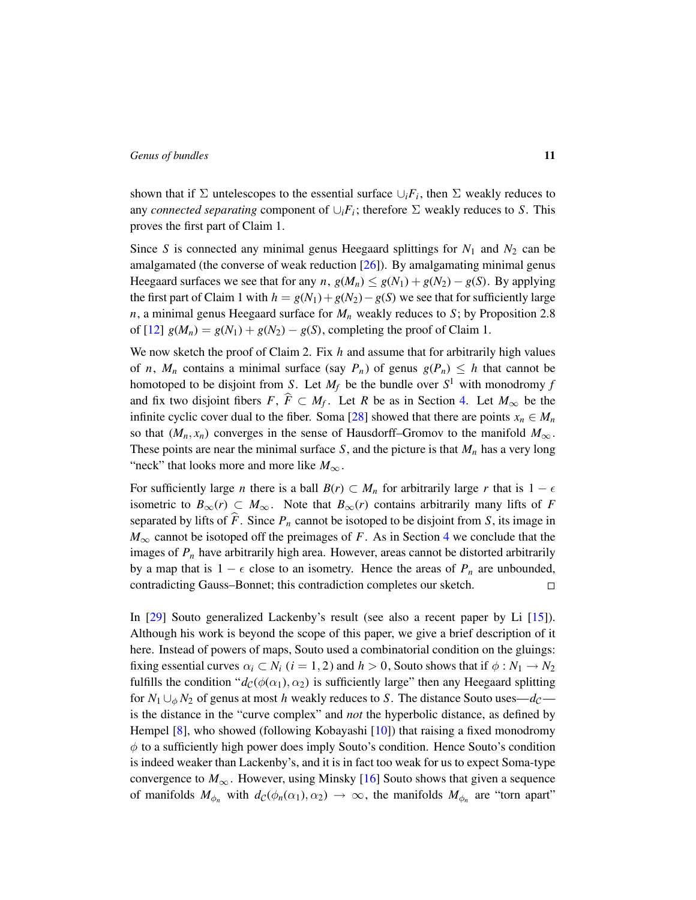shown that if  $\Sigma$  untelescopes to the essential surface  $\cup_i F_i$ , then  $\Sigma$  weakly reduces to any *connected separating* component of  $\cup_i F_i$ ; therefore  $\Sigma$  weakly reduces to *S*. This proves the first part of Claim 1.

Since *S* is connected any minimal genus Heegaard splittings for  $N_1$  and  $N_2$  can be amalgamated (the converse of weak reduction [\[26\]](#page-15-6)). By amalgamating minimal genus Heegaard surfaces we see that for any *n*,  $g(M_n) \leq g(N_1) + g(N_2) - g(S)$ . By applying the first part of Claim 1 with  $h = g(N_1) + g(N_2) - g(S)$  we see that for sufficiently large *n*, a minimal genus Heegaard surface for *M<sup>n</sup>* weakly reduces to *S*; by Proposition 2.8 of [\[12\]](#page-14-10)  $g(M_n) = g(N_1) + g(N_2) - g(S)$ , completing the proof of Claim 1.

We now sketch the proof of Claim 2. Fix *h* and assume that for arbitrarily high values of *n*,  $M_n$  contains a minimal surface (say  $P_n$ ) of genus  $g(P_n) \leq h$  that cannot be homotoped to be disjoint from *S*. Let  $M_f$  be the bundle over  $S^1$  with monodromy *f* and fix two disjoint fibers  $F, \overline{F} \subset M_f$ . Let *R* be as in Section [4.](#page-7-0) Let  $M_\infty$  be the infinite cyclic cover dual to the fiber. Soma [\[28\]](#page-15-5) showed that there are points  $x_n \in M_n$ so that  $(M_n, x_n)$  converges in the sense of Hausdorff–Gromov to the manifold  $M_\infty$ . These points are near the minimal surface *S*, and the picture is that *M<sup>n</sup>* has a very long "neck" that looks more and more like  $M_{\infty}$ .

For sufficiently large *n* there is a ball  $B(r) \subset M_n$  for arbitrarily large *r* that is  $1 - \epsilon$ isometric to  $B_{\infty}(r) \subset M_{\infty}$ . Note that  $B_{\infty}(r)$  contains arbitrarily many lifts of *F* separated by lifts of  $\widehat{F}$ . Since  $P_n$  cannot be isotoped to be disjoint from *S*, its image in  $M_{\infty}$  cannot be isotoped off the preimages of *F*. As in Section [4](#page-7-0) we conclude that the images of *P<sup>n</sup>* have arbitrarily high area. However, areas cannot be distorted arbitrarily by a map that is  $1 - \epsilon$  close to an isometry. Hence the areas of  $P_n$  are unbounded, contradicting Gauss–Bonnet; this contradiction completes our sketch.  $\Box$ 

In [\[29\]](#page-16-0) Souto generalized Lackenby's result (see also a recent paper by Li [\[15\]](#page-15-13)). Although his work is beyond the scope of this paper, we give a brief description of it here. Instead of powers of maps, Souto used a combinatorial condition on the gluings: fixing essential curves  $\alpha_i \subset N_i$  ( $i = 1, 2$ ) and  $h > 0$ , Souto shows that if  $\phi : N_1 \to N_2$ fulfills the condition " $d_{\mathcal{C}}(\phi(\alpha_1), \alpha_2)$  is sufficiently large" then any Heegaard splitting for  $N_1 \cup_{\phi} N_2$  of genus at most *h* weakly reduces to *S*. The distance Souto uses—*d*<sub>C</sub> is the distance in the "curve complex" and *not* the hyperbolic distance, as defined by Hempel [\[8\]](#page-14-11), who showed (following Kobayashi [\[10\]](#page-14-12)) that raising a fixed monodromy  $\phi$  to a sufficiently high power does imply Souto's condition. Hence Souto's condition is indeed weaker than Lackenby's, and it is in fact too weak for us to expect Soma-type convergence to  $M_{\infty}$ . However, using Minsky [\[16\]](#page-15-14) Souto shows that given a sequence of manifolds  $M_{\phi_n}$  with  $d_{\mathcal{C}}(\phi_n(\alpha_1), \alpha_2) \to \infty$ , the manifolds  $M_{\phi_n}$  are "torn apart"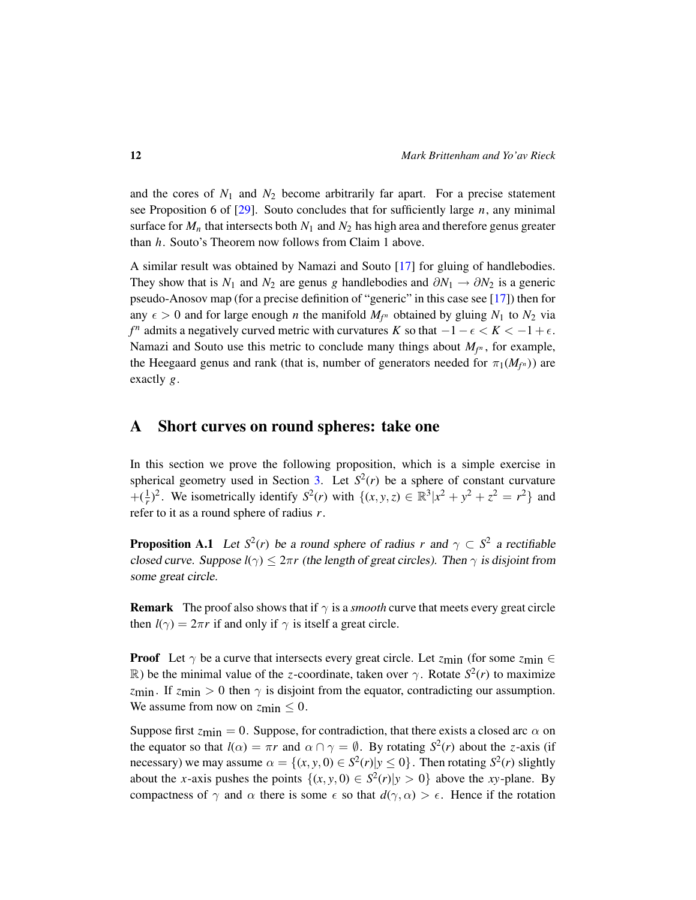and the cores of  $N_1$  and  $N_2$  become arbitrarily far apart. For a precise statement see Proposition 6 of [\[29\]](#page-16-0). Souto concludes that for sufficiently large *n*, any minimal surface for  $M_n$  that intersects both  $N_1$  and  $N_2$  has high area and therefore genus greater than *h*. Souto's Theorem now follows from Claim 1 above.

A similar result was obtained by Namazi and Souto [\[17\]](#page-15-7) for gluing of handlebodies. They show that is  $N_1$  and  $N_2$  are genus *g* handlebodies and  $\partial N_1 \rightarrow \partial N_2$  is a generic pseudo-Anosov map (for a precise definition of "generic" in this case see [\[17\]](#page-15-7)) then for any  $\epsilon > 0$  and for large enough *n* the manifold  $M_{f^n}$  obtained by gluing  $N_1$  to  $N_2$  via *f*<sup>*n*</sup> admits a negatively curved metric with curvatures *K* so that  $-1 - \epsilon < K < -1 + \epsilon$ . Namazi and Souto use this metric to conclude many things about  $M_{f^n}$ , for example, the Heegaard genus and rank (that is, number of generators needed for  $\pi_1(M_{f^n})$ ) are exactly *g*.

### <span id="page-11-0"></span>A Short curves on round spheres: take one

In this section we prove the following proposition, which is a simple exercise in spherical geometry used in Section [3.](#page-5-0) Let  $S^2(r)$  be a sphere of constant curvature + $(\frac{1}{r})^2$ . We isometrically identify  $S^2(r)$  with  $\{(x, y, z) \in \mathbb{R}^3 | x^2 + y^2 + z^2 = r^2 \}$  and refer to it as a round sphere of radius *r*.

<span id="page-11-1"></span>**Proposition A.1** Let  $S^2(r)$  be a round sphere of radius r and  $\gamma \subset S^2$  a rectifiable closed curve. Suppose  $l(\gamma) \leq 2\pi r$  (the length of great circles). Then  $\gamma$  is disjoint from some great circle.

**Remark** The proof also shows that if  $\gamma$  is a *smooth* curve that meets every great circle then  $l(\gamma) = 2\pi r$  if and only if  $\gamma$  is itself a great circle.

**Proof** Let  $\gamma$  be a curve that intersects every great circle. Let  $z_{\text{min}}$  (for some  $z_{\text{min}} \in$ R) be the minimal value of the *z*-coordinate, taken over  $\gamma$ . Rotate  $S^2(r)$  to maximize *z*min. If  $z_{\text{min}} > 0$  then  $\gamma$  is disjoint from the equator, contradicting our assumption. We assume from now on  $z_{\text{min}} \leq 0$ .

Suppose first  $z_{\text{min}} = 0$ . Suppose, for contradiction, that there exists a closed arc  $\alpha$  on the equator so that  $l(\alpha) = \pi r$  and  $\alpha \cap \gamma = \emptyset$ . By rotating  $S^2(r)$  about the *z*-axis (if necessary) we may assume  $\alpha = \{(x, y, 0) \in S^2(r) | y \le 0\}$ . Then rotating  $S^2(r)$  slightly about the *x*-axis pushes the points  $\{(x, y, 0) \in S^2(r)|y > 0\}$  above the *xy*-plane. By compactness of  $\gamma$  and  $\alpha$  there is some  $\epsilon$  so that  $d(\gamma, \alpha) > \epsilon$ . Hence if the rotation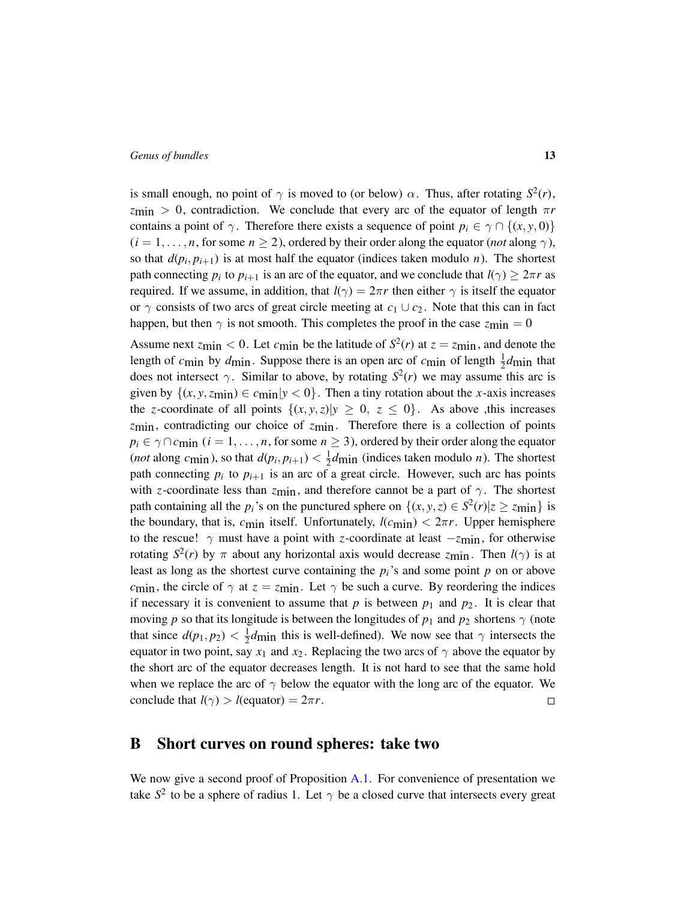is small enough, no point of  $\gamma$  is moved to (or below)  $\alpha$ . Thus, after rotating  $S^2(r)$ ,  $z_{\text{min}} > 0$ , contradiction. We conclude that every arc of the equator of length  $\pi r$ contains a point of  $\gamma$ . Therefore there exists a sequence of point  $p_i \in \gamma \cap \{(x, y, 0)\}\$  $(i = 1, \ldots, n$ , for some  $n \ge 2$ ), ordered by their order along the equator (*not* along  $\gamma$ ), so that  $d(p_i, p_{i+1})$  is at most half the equator (indices taken modulo *n*). The shortest path connecting  $p_i$  to  $p_{i+1}$  is an arc of the equator, and we conclude that  $l(\gamma) \geq 2\pi r$  as required. If we assume, in addition, that  $l(\gamma) = 2\pi r$  then either  $\gamma$  is itself the equator or  $\gamma$  consists of two arcs of great circle meeting at  $c_1 \cup c_2$ . Note that this can in fact happen, but then  $\gamma$  is not smooth. This completes the proof in the case  $z_{\text{min}} = 0$ 

Assume next  $z_{\text{min}} < 0$ . Let  $c_{\text{min}}$  be the latitude of  $S^2(r)$  at  $z = z_{\text{min}}$ , and denote the length of  $c_{\text{min}}$  by  $d_{\text{min}}$ . Suppose there is an open arc of  $c_{\text{min}}$  of length  $\frac{1}{2}d_{\text{min}}$  that does not intersect  $\gamma$ . Similar to above, by rotating  $S^2(r)$  we may assume this arc is given by  $\{(x, y, z_{\text{min}}) \in c_{\text{min}} | y < 0 \}$ . Then a tiny rotation about the *x*-axis increases the *z*-coordinate of all points  $\{(x, y, z)|y \ge 0, z \le 0\}$ . As above ,this increases *z*min, contradicting our choice of *z*min. Therefore there is a collection of points  $p_i \in \gamma \cap c_{\text{min}}$  (*i* = 1, ..., *n*, for some *n* ≥ 3), ordered by their order along the equator (*not* along *c*<sub>min</sub>), so that  $d(p_i, p_{i+1}) < \frac{1}{2}$  $\frac{1}{2}$ *d*min (indices taken modulo *n*). The shortest path connecting  $p_i$  to  $p_{i+1}$  is an arc of a great circle. However, such arc has points with *z*-coordinate less than  $z_{\text{min}}$ , and therefore cannot be a part of  $\gamma$ . The shortest path containing all the  $p_i$ 's on the punctured sphere on  $\{(x, y, z) \in S^2(r) | z \ge z_{\text{min}} \}$  is the boundary, that is,  $c_{\text{min}}$  itself. Unfortunately,  $l(c_{\text{min}}) < 2\pi r$ . Upper hemisphere to the rescue!  $\gamma$  must have a point with *z*-coordinate at least  $-z_{\text{min}}$ , for otherwise rotating  $S^2(r)$  by  $\pi$  about any horizontal axis would decrease  $z_{\text{min}}$ . Then  $l(\gamma)$  is at least as long as the shortest curve containing the  $p_i$ 's and some point  $p$  on or above *c*<sub>min</sub>, the circle of  $\gamma$  at  $z = z_{\text{min}}$ . Let  $\gamma$  be such a curve. By reordering the indices if necessary it is convenient to assume that  $p$  is between  $p_1$  and  $p_2$ . It is clear that moving *p* so that its longitude is between the longitudes of  $p_1$  and  $p_2$  shortens  $\gamma$  (note that since  $d(p_1, p_2) < \frac{1}{2}$  $\frac{1}{2}d$ min this is well-defined). We now see that  $\gamma$  intersects the equator in two point, say  $x_1$  and  $x_2$ . Replacing the two arcs of  $\gamma$  above the equator by the short arc of the equator decreases length. It is not hard to see that the same hold when we replace the arc of  $\gamma$  below the equator with the long arc of the equator. We conclude that  $l(\gamma) > l$ (equator) =  $2\pi r$ .  $\Box$ 

### <span id="page-12-0"></span>B Short curves on round spheres: take two

We now give a second proof of Proposition  $A.1$ . For convenience of presentation we take  $S^2$  to be a sphere of radius 1. Let  $\gamma$  be a closed curve that intersects every great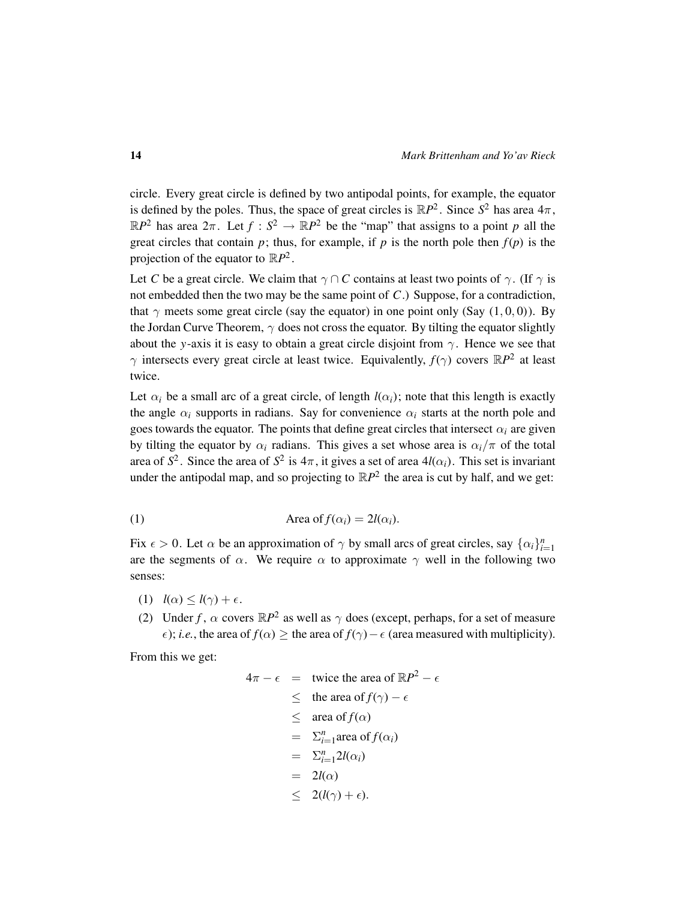circle. Every great circle is defined by two antipodal points, for example, the equator is defined by the poles. Thus, the space of great circles is  $\mathbb{R}P^2$ . Since  $S^2$  has area  $4\pi$ ,  $\mathbb{R}P^2$  has area  $2\pi$ . Let  $f : S^2 \to \mathbb{R}P^2$  be the "map" that assigns to a point *p* all the great circles that contain  $p$ ; thus, for example, if  $p$  is the north pole then  $f(p)$  is the projection of the equator to  $\mathbb{R}P^2$ .

Let *C* be a great circle. We claim that  $\gamma \cap C$  contains at least two points of  $\gamma$ . (If  $\gamma$  is not embedded then the two may be the same point of *C*.) Suppose, for a contradiction, that  $\gamma$  meets some great circle (say the equator) in one point only (Say (1,0,0)). By the Jordan Curve Theorem,  $\gamma$  does not cross the equator. By tilting the equator slightly about the *y*-axis it is easy to obtain a great circle disjoint from  $\gamma$ . Hence we see that  $\gamma$  intersects every great circle at least twice. Equivalently,  $f(\gamma)$  covers  $\mathbb{R}P^2$  at least twice.

Let  $\alpha_i$  be a small arc of a great circle, of length  $l(\alpha_i)$ ; note that this length is exactly the angle  $\alpha_i$  supports in radians. Say for convenience  $\alpha_i$  starts at the north pole and goes towards the equator. The points that define great circles that intersect  $\alpha_i$  are given by tilting the equator by  $\alpha_i$  radians. This gives a set whose area is  $\alpha_i/\pi$  of the total area of  $S^2$ . Since the area of  $S^2$  is  $4\pi$ , it gives a set of area  $4l(\alpha_i)$ . This set is invariant under the antipodal map, and so projecting to  $\mathbb{R}P^2$  the area is cut by half, and we get:

<span id="page-13-0"></span>(1) Area of 
$$
f(\alpha_i) = 2l(\alpha_i)
$$
.

Fix  $\epsilon > 0$ . Let  $\alpha$  be an approximation of  $\gamma$  by small arcs of great circles, say  $\{\alpha_i\}_{i=1}^n$ are the segments of  $\alpha$ . We require  $\alpha$  to approximate  $\gamma$  well in the following two senses:

- (1)  $l(\alpha) \leq l(\gamma) + \epsilon$ .
- (2) Under *f*,  $\alpha$  covers  $\mathbb{R}P^2$  as well as  $\gamma$  does (except, perhaps, for a set of measure  $\epsilon$ ); *i.e.*, the area of  $f(\alpha) \geq$  the area of  $f(\gamma) - \epsilon$  (area measured with multiplicity).

From this we get:

$$
4\pi - \epsilon = \text{twice the area of } \mathbb{R}P^2 - \epsilon
$$
  
\n
$$
\leq \text{ the area of } f(\gamma) - \epsilon
$$
  
\n
$$
\leq \text{ area of } f(\alpha)
$$
  
\n
$$
= \sum_{i=1}^{n} \text{area of } f(\alpha_i)
$$
  
\n
$$
= \sum_{i=1}^{n} 2l(\alpha_i)
$$
  
\n
$$
= 2l(\alpha)
$$
  
\n
$$
\leq 2(l(\gamma) + \epsilon).
$$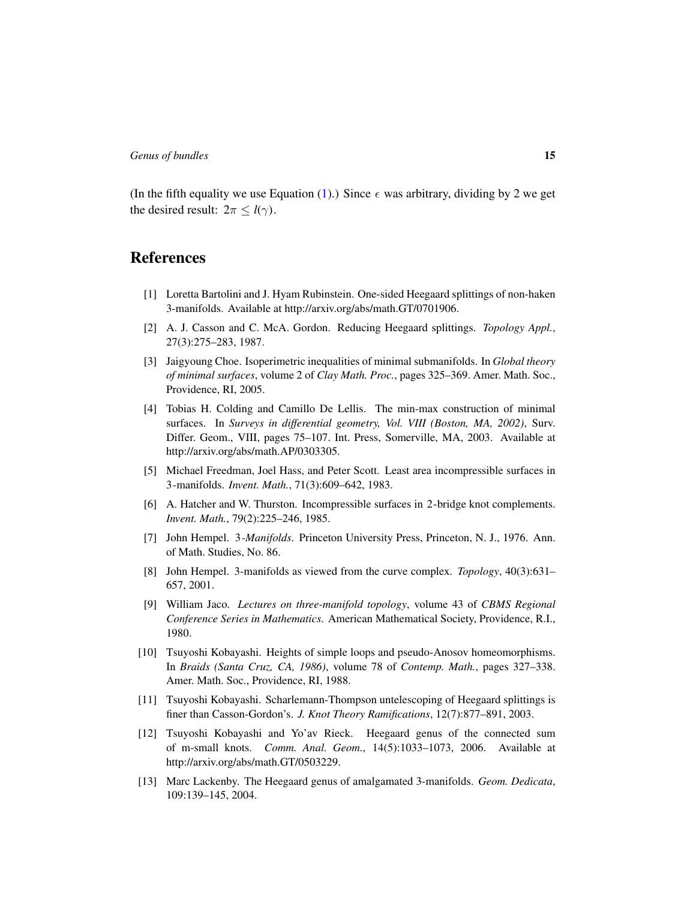(In the fifth equality we use Equation [\(1\)](#page-13-0).) Since  $\epsilon$  was arbitrary, dividing by 2 we get the desired result:  $2\pi \leq l(\gamma)$ .

### References

- <span id="page-14-8"></span>[1] Loretta Bartolini and J. Hyam Rubinstein. One-sided Heegaard splittings of non-haken 3-manifolds. Available at http://arxiv.org/abs/math.GT/0701906.
- <span id="page-14-2"></span>[2] A. J. Casson and C. McA. Gordon. Reducing Heegaard splittings. *Topology Appl.*, 27(3):275–283, 1987.
- <span id="page-14-9"></span>[3] Jaigyoung Choe. Isoperimetric inequalities of minimal submanifolds. In *Global theory of minimal surfaces*, volume 2 of *Clay Math. Proc.*, pages 325–369. Amer. Math. Soc., Providence, RI, 2005.
- <span id="page-14-6"></span>[4] Tobias H. Colding and Camillo De Lellis. The min-max construction of minimal surfaces. In *Surveys in differential geometry, Vol. VIII (Boston, MA, 2002)*, Surv. Differ. Geom., VIII, pages 75–107. Int. Press, Somerville, MA, 2003. Available at http://arxiv.org/abs/math.AP/0303305.
- <span id="page-14-7"></span>[5] Michael Freedman, Joel Hass, and Peter Scott. Least area incompressible surfaces in 3-manifolds. *Invent. Math.*, 71(3):609–642, 1983.
- <span id="page-14-4"></span>[6] A. Hatcher and W. Thurston. Incompressible surfaces in 2-bridge knot complements. *Invent. Math.*, 79(2):225–246, 1985.
- <span id="page-14-0"></span>[7] John Hempel. 3*-Manifolds*. Princeton University Press, Princeton, N. J., 1976. Ann. of Math. Studies, No. 86.
- <span id="page-14-11"></span>[8] John Hempel. 3-manifolds as viewed from the curve complex. *Topology*, 40(3):631– 657, 2001.
- <span id="page-14-1"></span>[9] William Jaco. *Lectures on three-manifold topology*, volume 43 of *CBMS Regional Conference Series in Mathematics*. American Mathematical Society, Providence, R.I., 1980.
- <span id="page-14-12"></span>[10] Tsuyoshi Kobayashi. Heights of simple loops and pseudo-Anosov homeomorphisms. In *Braids (Santa Cruz, CA, 1986)*, volume 78 of *Contemp. Math.*, pages 327–338. Amer. Math. Soc., Providence, RI, 1988.
- <span id="page-14-3"></span>[11] Tsuyoshi Kobayashi. Scharlemann-Thompson untelescoping of Heegaard splittings is finer than Casson-Gordon's. *J. Knot Theory Ramifications*, 12(7):877–891, 2003.
- <span id="page-14-10"></span>[12] Tsuyoshi Kobayashi and Yo'av Rieck. Heegaard genus of the connected sum of m-small knots. *Comm. Anal. Geom.*, 14(5):1033–1073, 2006. Available at http://arxiv.org/abs/math.GT/0503229.
- <span id="page-14-5"></span>[13] Marc Lackenby. The Heegaard genus of amalgamated 3-manifolds. *Geom. Dedicata*, 109:139–145, 2004.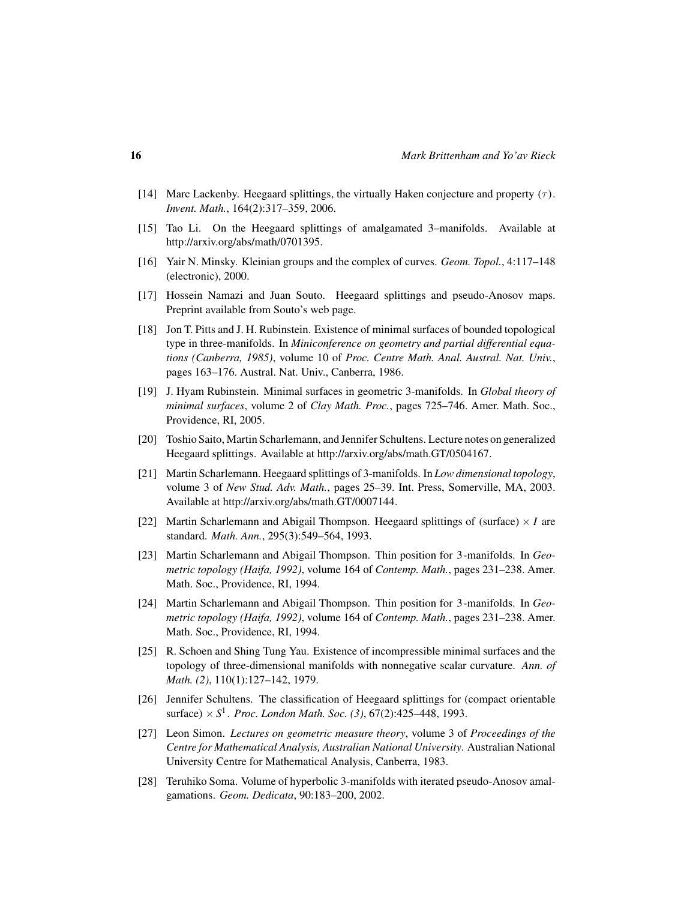- <span id="page-15-4"></span>[14] Marc Lackenby. Heegaard splittings, the virtually Haken conjecture and property  $(\tau)$ . *Invent. Math.*, 164(2):317–359, 2006.
- <span id="page-15-13"></span>[15] Tao Li. On the Heegaard splittings of amalgamated 3–manifolds. Available at http://arxiv.org/abs/math/0701395.
- <span id="page-15-14"></span>[16] Yair N. Minsky. Kleinian groups and the complex of curves. *Geom. Topol.*, 4:117–148 (electronic), 2000.
- <span id="page-15-7"></span>[17] Hossein Namazi and Juan Souto. Heegaard splittings and pseudo-Anosov maps. Preprint available from Souto's web page.
- <span id="page-15-8"></span>[18] Jon T. Pitts and J. H. Rubinstein. Existence of minimal surfaces of bounded topological type in three-manifolds. In *Miniconference on geometry and partial differential equations (Canberra, 1985)*, volume 10 of *Proc. Centre Math. Anal. Austral. Nat. Univ.*, pages 163–176. Austral. Nat. Univ., Canberra, 1986.
- <span id="page-15-3"></span>[19] J. Hyam Rubinstein. Minimal surfaces in geometric 3-manifolds. In *Global theory of minimal surfaces*, volume 2 of *Clay Math. Proc.*, pages 725–746. Amer. Math. Soc., Providence, RI, 2005.
- <span id="page-15-2"></span>[20] Toshio Saito, Martin Scharlemann, and Jennifer Schultens. Lecture notes on generalized Heegaard splittings. Available at http://arxiv.org/abs/math.GT/0504167.
- <span id="page-15-0"></span>[21] Martin Scharlemann. Heegaard splittings of 3-manifolds. In *Low dimensional topology*, volume 3 of *New Stud. Adv. Math.*, pages 25–39. Int. Press, Somerville, MA, 2003. Available at http://arxiv.org/abs/math.GT/0007144.
- <span id="page-15-10"></span>[22] Martin Scharlemann and Abigail Thompson. Heegaard splittings of (surface)  $\times I$  are standard. *Math. Ann.*, 295(3):549–564, 1993.
- <span id="page-15-1"></span>[23] Martin Scharlemann and Abigail Thompson. Thin position for 3-manifolds. In *Geometric topology (Haifa, 1992)*, volume 164 of *Contemp. Math.*, pages 231–238. Amer. Math. Soc., Providence, RI, 1994.
- <span id="page-15-12"></span>[24] Martin Scharlemann and Abigail Thompson. Thin position for 3-manifolds. In *Geometric topology (Haifa, 1992)*, volume 164 of *Contemp. Math.*, pages 231–238. Amer. Math. Soc., Providence, RI, 1994.
- <span id="page-15-9"></span>[25] R. Schoen and Shing Tung Yau. Existence of incompressible minimal surfaces and the topology of three-dimensional manifolds with nonnegative scalar curvature. *Ann. of Math. (2)*, 110(1):127–142, 1979.
- <span id="page-15-6"></span>[26] Jennifer Schultens. The classification of Heegaard splittings for (compact orientable surface) × *S* 1 . *Proc. London Math. Soc. (3)*, 67(2):425–448, 1993.
- <span id="page-15-11"></span>[27] Leon Simon. *Lectures on geometric measure theory*, volume 3 of *Proceedings of the Centre for Mathematical Analysis, Australian National University*. Australian National University Centre for Mathematical Analysis, Canberra, 1983.
- <span id="page-15-5"></span>[28] Teruhiko Soma. Volume of hyperbolic 3-manifolds with iterated pseudo-Anosov amalgamations. *Geom. Dedicata*, 90:183–200, 2002.